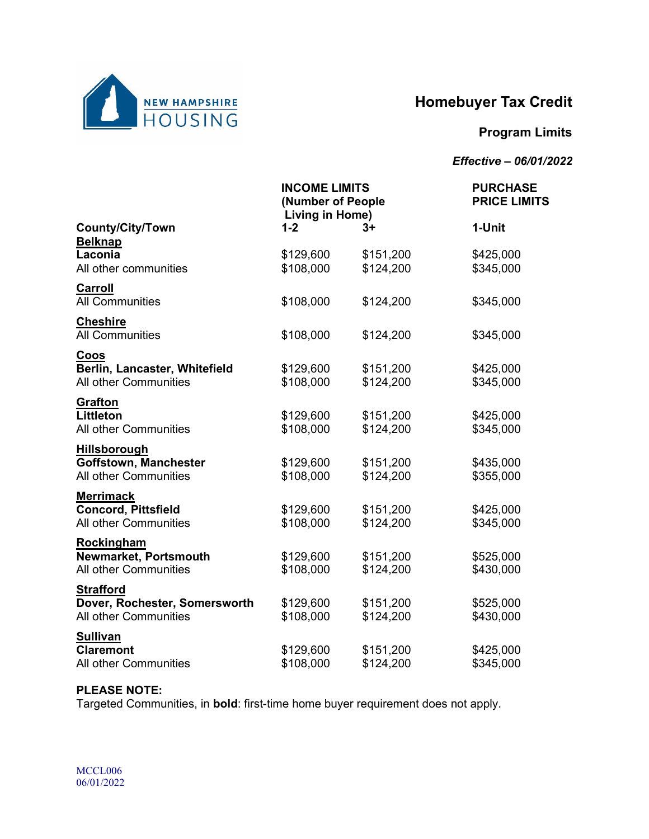

# **Homebuyer Tax Credit**

# **Program Limits**

### *Effective – 06/01/2022*

|                                                                            | <b>INCOME LIMITS</b><br>(Number of People<br>Living in Home) |                        | <b>PURCHASE</b><br><b>PRICE LIMITS</b> |  |
|----------------------------------------------------------------------------|--------------------------------------------------------------|------------------------|----------------------------------------|--|
| <b>County/City/Town</b>                                                    | $1 - 2$                                                      | $3+$                   | 1-Unit                                 |  |
| <b>Belknap</b><br>Laconia<br>All other communities                         | \$129,600<br>\$108,000                                       | \$151,200<br>\$124,200 | \$425,000<br>\$345,000                 |  |
| Carroll<br><b>All Communities</b>                                          | \$108,000                                                    | \$124,200              | \$345,000                              |  |
| <b>Cheshire</b><br><b>All Communities</b>                                  | \$108,000                                                    | \$124,200              | \$345,000                              |  |
| Coos<br>Berlin, Lancaster, Whitefield<br><b>All other Communities</b>      | \$129,600<br>\$108,000                                       | \$151,200<br>\$124,200 | \$425,000<br>\$345,000                 |  |
| <b>Grafton</b><br><b>Littleton</b><br><b>All other Communities</b>         | \$129,600<br>\$108,000                                       | \$151,200<br>\$124,200 | \$425,000<br>\$345,000                 |  |
| Hillsborough<br><b>Goffstown, Manchester</b><br>All other Communities      | \$129,600<br>\$108,000                                       | \$151,200<br>\$124,200 | \$435,000<br>\$355,000                 |  |
| <b>Merrimack</b><br><b>Concord, Pittsfield</b><br>All other Communities    | \$129,600<br>\$108,000                                       | \$151,200<br>\$124,200 | \$425,000<br>\$345,000                 |  |
| Rockingham<br>Newmarket, Portsmouth<br>All other Communities               | \$129,600<br>\$108,000                                       | \$151,200<br>\$124,200 | \$525,000<br>\$430,000                 |  |
| <b>Strafford</b><br>Dover, Rochester, Somersworth<br>All other Communities | \$129,600<br>\$108,000                                       | \$151,200<br>\$124,200 | \$525,000<br>\$430,000                 |  |
| <b>Sullivan</b><br><b>Claremont</b><br><b>All other Communities</b>        | \$129,600<br>\$108,000                                       | \$151,200<br>\$124,200 | \$425,000<br>\$345,000                 |  |

#### **PLEASE NOTE:**

Targeted Communities, in **bold**: first-time home buyer requirement does not apply.